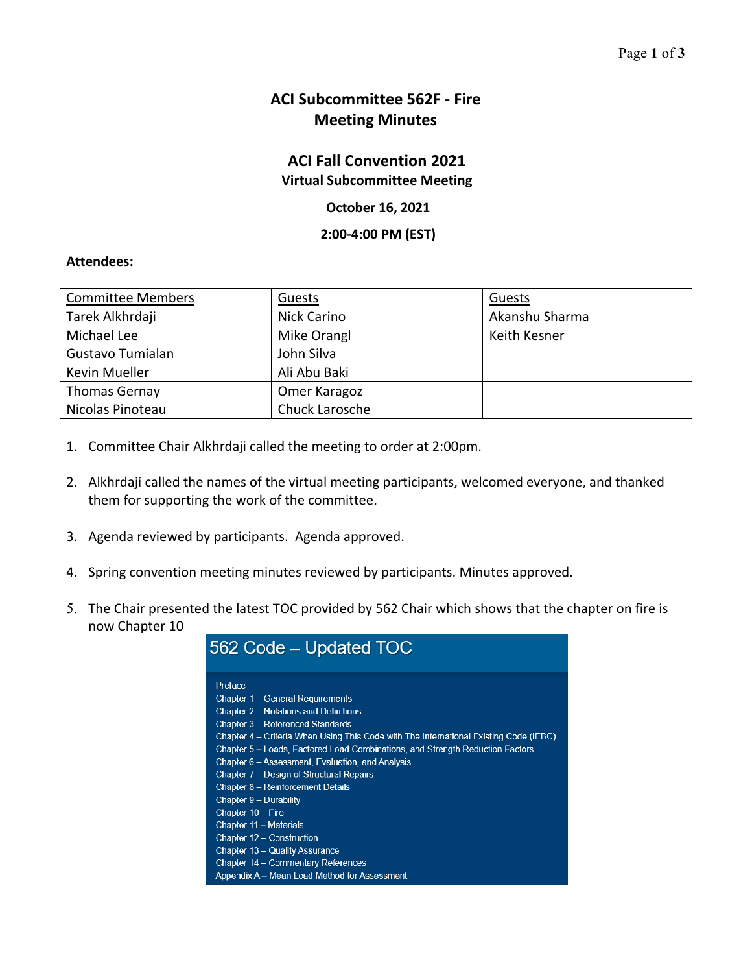## **ACI Subcommittee 562F ‐ Fire Meeting Minutes**

## **ACI Fall Convention 2021**

**Virtual Subcommittee Meeting** 

## **October 16, 2021**

**2:00‐4:00 PM (EST)**

## **Attendees:**

| <b>Committee Members</b> | Guests         | Guests         |
|--------------------------|----------------|----------------|
| Tarek Alkhrdaji          | Nick Carino    | Akanshu Sharma |
| Michael Lee              | Mike Orangl    | Keith Kesner   |
| Gustavo Tumialan         | John Silva     |                |
| Kevin Mueller            | Ali Abu Baki   |                |
| <b>Thomas Gernay</b>     | Omer Karagoz   |                |
| Nicolas Pinoteau         | Chuck Larosche |                |

- 1. Committee Chair Alkhrdaji called the meeting to order at 2:00pm.
- 2. Alkhrdaji called the names of the virtual meeting participants, welcomed everyone, and thanked them for supporting the work of the committee.
- 3. Agenda reviewed by participants. Agenda approved.
- 4. Spring convention meeting minutes reviewed by participants. Minutes approved.
- 5. The Chair presented the latest TOC provided by 562 Chair which shows that the chapter on fire is now Chapter 10

| 562 Code – Updated TOC                                                                |
|---------------------------------------------------------------------------------------|
| Preface                                                                               |
| Chapter 1 - General Requirements                                                      |
| Chapter 2 – Notations and Definitions                                                 |
| Chapter 3 - Referenced Standards                                                      |
| Chapter 4 – Criteria When Using This Code with The International Existing Code (IEBC) |
| Chapter 5 – Loads, Factored Load Combinations, and Strength Reduction Factors         |
| Chapter 6 – Assessment, Evaluation, and Analysis                                      |
| Chapter 7 – Design of Structural Repairs                                              |
| Chapter 8 - Reinforcement Details                                                     |
| Chapter 9 - Durability                                                                |
| Chapter 10 - Fire                                                                     |
| Chapter 11 - Materials                                                                |
| Chapter 12 - Construction                                                             |
| Chapter 13 - Quality Assurance                                                        |
| Chapter 14 – Commentary References                                                    |
| Appendix A - Mean Load Method for Assessment                                          |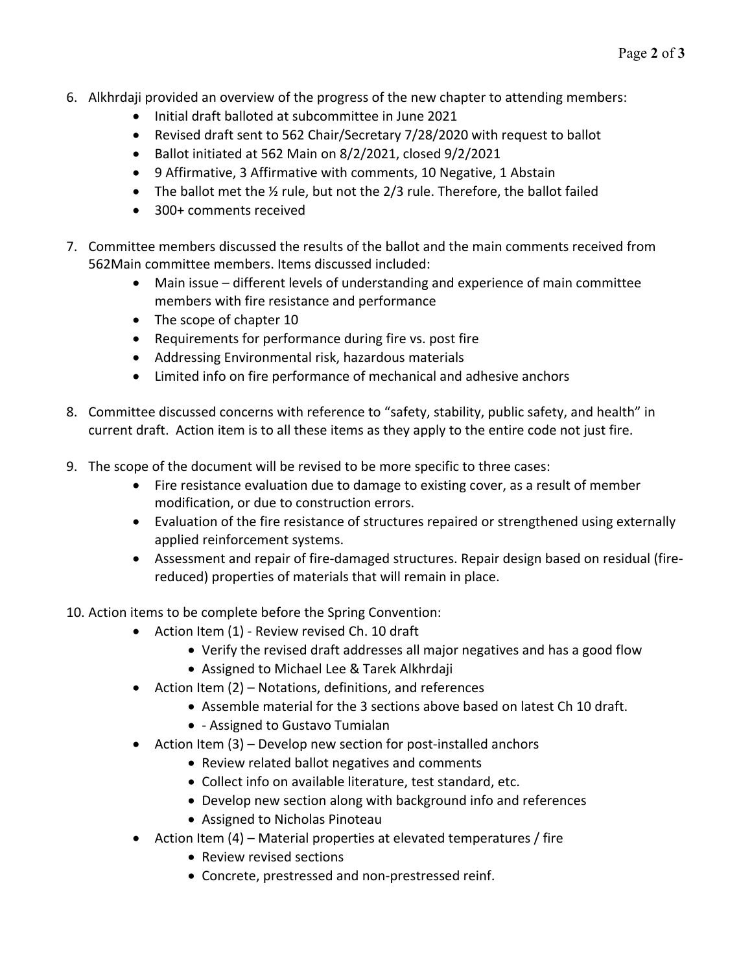- 6. Alkhrdaji provided an overview of the progress of the new chapter to attending members:
	- Initial draft balloted at subcommittee in June 2021
	- Revised draft sent to 562 Chair/Secretary 7/28/2020 with request to ballot
	- $\bullet$  Ballot initiated at 562 Main on 8/2/2021, closed 9/2/2021
	- 9 Affirmative, 3 Affirmative with comments, 10 Negative, 1 Abstain
	- The ballot met the 1/2 rule, but not the 2/3 rule. Therefore, the ballot failed
	- 300+ comments received
- 7. Committee members discussed the results of the ballot and the main comments received from 562Main committee members. Items discussed included:
	- Main issue different levels of understanding and experience of main committee members with fire resistance and performance
	- The scope of chapter 10
	- Requirements for performance during fire vs. post fire
	- Addressing Environmental risk, hazardous materials
	- Limited info on fire performance of mechanical and adhesive anchors
- 8. Committee discussed concerns with reference to "safety, stability, public safety, and health" in current draft. Action item is to all these items as they apply to the entire code not just fire.
- 9. The scope of the document will be revised to be more specific to three cases:
	- Fire resistance evaluation due to damage to existing cover, as a result of member modification, or due to construction errors.
	- Evaluation of the fire resistance of structures repaired or strengthened using externally applied reinforcement systems.
	- Assessment and repair of fire‐damaged structures. Repair design based on residual (fire‐ reduced) properties of materials that will remain in place.
- 10. Action items to be complete before the Spring Convention:
	- Action Item (1) Review revised Ch. 10 draft
		- Verify the revised draft addresses all major negatives and has a good flow
		- Assigned to Michael Lee & Tarek Alkhrdaji
	- $\bullet$  Action Item (2) Notations, definitions, and references
		- Assemble material for the 3 sections above based on latest Ch 10 draft.
		- ‐ Assigned to Gustavo Tumialan
	- Action Item (3) Develop new section for post-installed anchors
		- Review related ballot negatives and comments
		- Collect info on available literature, test standard, etc.
		- Develop new section along with background info and references
		- Assigned to Nicholas Pinoteau
	- Action Item (4) Material properties at elevated temperatures / fire
		- Review revised sections
		- Concrete, prestressed and non-prestressed reinf.